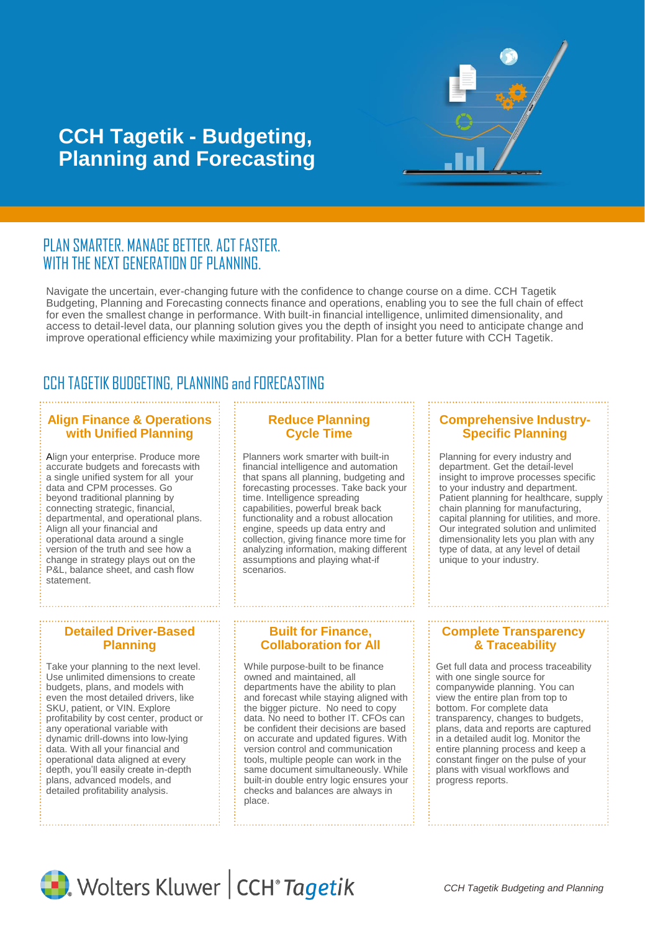

# **CCH Tagetik - Budgeting, Planning and Forecasting**

### PLAN SMARTER. MANAGE BETTER. ACT FASTER. WITH THE NEXT GENERATION OF PLANNING.

Navigate the uncertain, ever-changing future with the confidence to change course on a dime. CCH Tagetik Budgeting, Planning and Forecasting connects finance and operations, enabling you to see the full chain of effect for even the smallest change in performance. With built-in financial intelligence, unlimited dimensionality, and access to detail-level data, our planning solution gives you the depth of insight you need to anticipate change and improve operational efficiency while maximizing your profitability. Plan for a better future with CCH Tagetik.

## CCH TAGETIK BUDGETING, PLANNING and FORECASTING

#### **Align Finance & Operations with Unified Planning**

Align your enterprise. Produce more accurate budgets and forecasts with a single unified system for all your data and CPM processes. Go beyond traditional planning by connecting strategic, financial, departmental, and operational plans. Align all your financial and operational data around a single version of the truth and see how a change in strategy plays out on the P&L, balance sheet, and cash flow statement.

#### **Reduce Planning Cycle Time**

Planners work smarter with built-in financial intelligence and automation that spans all planning, budgeting and forecasting processes. Take back your time. Intelligence spreading capabilities, powerful break back functionality and a robust allocation engine, speeds up data entry and collection, giving finance more time for analyzing information, making different assumptions and playing what-if scenarios.

#### **Comprehensive Industry-Specific Planning**

Planning for every industry and department. Get the detail-level insight to improve processes specific to your industry and department. Patient planning for healthcare, supply chain planning for manufacturing, capital planning for utilities, and more. Our integrated solution and unlimited dimensionality lets you plan with any type of data, at any level of detail unique to your industry.

#### **Detailed Driver-Based Planning**

Take your planning to the next level. Use unlimited dimensions to create budgets, plans, and models with even the most detailed drivers, like SKU, patient, or VIN. Explore profitability by cost center, product or any operational variable with dynamic drill-downs into low-lying data. With all your financial and operational data aligned at every depth, you'll easily create in-depth plans, advanced models, and detailed profitability analysis.

#### **Built for Finance, Collaboration for All**

While purpose-built to be finance owned and maintained, all departments have the ability to plan and forecast while staying aligned with the bigger picture. No need to copy data. No need to bother IT. CFOs can be confident their decisions are based on accurate and updated figures. With version control and communication tools, multiple people can work in the same document simultaneously. While built-in double entry logic ensures your checks and balances are always in place.

#### **Complete Transparency & Traceability**

Get full data and process traceability with one single source for companywide planning. You can view the entire plan from top to bottom. For complete data transparency, changes to budgets, plans, data and reports are captured in a detailed audit log. Monitor the entire planning process and keep a constant finger on the pulse of your plans with visual workflows and progress reports.